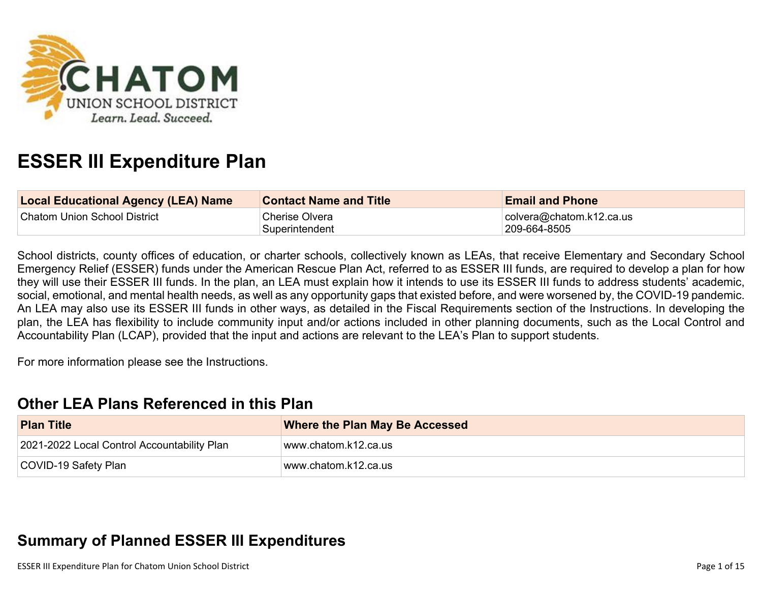

# **ESSER III Expenditure Plan**

| Local Educational Agency (LEA) Name | <b>Contact Name and Title</b>    | <b>Email and Phone</b>                           |
|-------------------------------------|----------------------------------|--------------------------------------------------|
| Chatom Union School District        | Cherise Olvera<br>Superintendent | $\vert$ colvera@chatom.k12.ca.us<br>209-664-8505 |

School districts, county offices of education, or charter schools, collectively known as LEAs, that receive Elementary and Secondary School Emergency Relief (ESSER) funds under the American Rescue Plan Act, referred to as ESSER III funds, are required to develop a plan for how they will use their ESSER III funds. In the plan, an LEA must explain how it intends to use its ESSER III funds to address students' academic, social, emotional, and mental health needs, as well as any opportunity gaps that existed before, and were worsened by, the COVID-19 pandemic. An LEA may also use its ESSER III funds in other ways, as detailed in the Fiscal Requirements section of the Instructions. In developing the plan, the LEA has flexibility to include community input and/or actions included in other planning documents, such as the Local Control and Accountability Plan (LCAP), provided that the input and actions are relevant to the LEA's Plan to support students.

For more information please see the Instructions.

### **[Other LEA Plans Referenced in this Plan](#page-9-0)**

| <b>Plan Title</b>                           | <b>Where the Plan May Be Accessed</b> |
|---------------------------------------------|---------------------------------------|
| 2021-2022 Local Control Accountability Plan | www.chatom.k12.ca.us                  |
| COVID-19 Safety Plan                        | www.chatom.k12.ca.usl                 |

## **[Summary of Planned ESSER III Expenditures](#page-9-1)**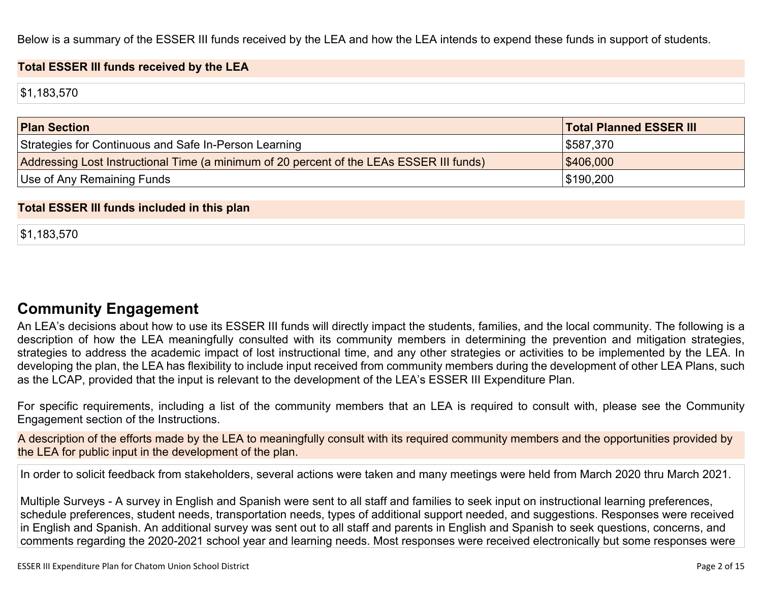Below is a summary of the ESSER III funds received by the LEA and how the LEA intends to expend these funds in support of students.

#### **Total ESSER III funds received by the LEA**

\$1,183,570

| <b>Plan Section</b>                                                                      | <b>Total Planned ESSER III</b> |
|------------------------------------------------------------------------------------------|--------------------------------|
| Strategies for Continuous and Safe In-Person Learning                                    | \$587,370                      |
| Addressing Lost Instructional Time (a minimum of 20 percent of the LEAs ESSER III funds) | \$406,000                      |
| Use of Any Remaining Funds                                                               | ∫\$190,200                     |

#### **Total ESSER III funds included in this plan**

\$1,183,570

### **[Community Engagement](#page-10-0)**

An LEA's decisions about how to use its ESSER III funds will directly impact the students, families, and the local community. The following is a description of how the LEA meaningfully consulted with its community members in determining the prevention and mitigation strategies, strategies to address the academic impact of lost instructional time, and any other strategies or activities to be implemented by the LEA. In developing the plan, the LEA has flexibility to include input received from community members during the development of other LEA Plans, such as the LCAP, provided that the input is relevant to the development of the LEA's ESSER III Expenditure Plan.

For specific requirements, including a list of the community members that an LEA is required to consult with, please see the Community Engagement section of the Instructions.

A description of the efforts made by the LEA to meaningfully consult with its required community members and the opportunities provided by the LEA for public input in the development of the plan.

In order to solicit feedback from stakeholders, several actions were taken and many meetings were held from March 2020 thru March 2021.

Multiple Surveys - A survey in English and Spanish were sent to all staff and families to seek input on instructional learning preferences, schedule preferences, student needs, transportation needs, types of additional support needed, and suggestions. Responses were received in English and Spanish. An additional survey was sent out to all staff and parents in English and Spanish to seek questions, concerns, and comments regarding the 2020-2021 school year and learning needs. Most responses were received electronically but some responses were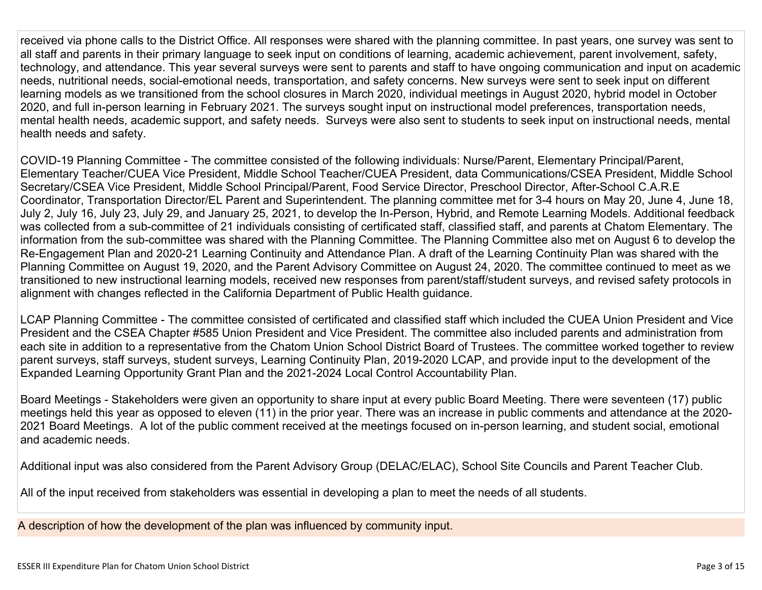received via phone calls to the District Office. All responses were shared with the planning committee. In past years, one survey was sent to all staff and parents in their primary language to seek input on conditions of learning, academic achievement, parent involvement, safety, technology, and attendance. This year several surveys were sent to parents and staff to have ongoing communication and input on academic needs, nutritional needs, social-emotional needs, transportation, and safety concerns. New surveys were sent to seek input on different learning models as we transitioned from the school closures in March 2020, individual meetings in August 2020, hybrid model in October 2020, and full in-person learning in February 2021. The surveys sought input on instructional model preferences, transportation needs, mental health needs, academic support, and safety needs. Surveys were also sent to students to seek input on instructional needs, mental health needs and safety.

COVID-19 Planning Committee - The committee consisted of the following individuals: Nurse/Parent, Elementary Principal/Parent, Elementary Teacher/CUEA Vice President, Middle School Teacher/CUEA President, data Communications/CSEA President, Middle School Secretary/CSEA Vice President, Middle School Principal/Parent, Food Service Director, Preschool Director, After-School C.A.R.E Coordinator, Transportation Director/EL Parent and Superintendent. The planning committee met for 3-4 hours on May 20, June 4, June 18, July 2, July 16, July 23, July 29, and January 25, 2021, to develop the In-Person, Hybrid, and Remote Learning Models. Additional feedback was collected from a sub-committee of 21 individuals consisting of certificated staff, classified staff, and parents at Chatom Elementary. The information from the sub-committee was shared with the Planning Committee. The Planning Committee also met on August 6 to develop the Re-Engagement Plan and 2020-21 Learning Continuity and Attendance Plan. A draft of the Learning Continuity Plan was shared with the Planning Committee on August 19, 2020, and the Parent Advisory Committee on August 24, 2020. The committee continued to meet as we transitioned to new instructional learning models, received new responses from parent/staff/student surveys, and revised safety protocols in alignment with changes reflected in the California Department of Public Health guidance.

LCAP Planning Committee - The committee consisted of certificated and classified staff which included the CUEA Union President and Vice President and the CSEA Chapter #585 Union President and Vice President. The committee also included parents and administration from each site in addition to a representative from the Chatom Union School District Board of Trustees. The committee worked together to review parent surveys, staff surveys, student surveys, Learning Continuity Plan, 2019-2020 LCAP, and provide input to the development of the Expanded Learning Opportunity Grant Plan and the 2021-2024 Local Control Accountability Plan.

Board Meetings - Stakeholders were given an opportunity to share input at every public Board Meeting. There were seventeen (17) public meetings held this year as opposed to eleven (11) in the prior year. There was an increase in public comments and attendance at the 2020- 2021 Board Meetings. A lot of the public comment received at the meetings focused on in-person learning, and student social, emotional and academic needs.

Additional input was also considered from the Parent Advisory Group (DELAC/ELAC), School Site Councils and Parent Teacher Club.

All of the input received from stakeholders was essential in developing a plan to meet the needs of all students.

A description of how the development of the plan was influenced by community input.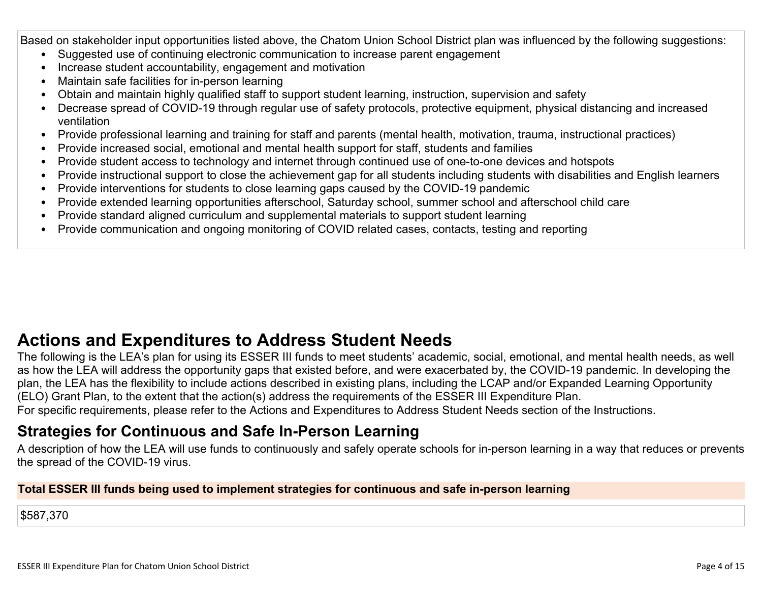Based on stakeholder input opportunities listed above, the Chatom Union School District plan was influenced by the following suggestions:

- Suggested use of continuing electronic communication to increase parent engagement
- Increase student accountability, engagement and motivation
- Maintain safe facilities for in-person learning
- Obtain and maintain highly qualified staff to support student learning, instruction, supervision and safety
- Decrease spread of COVID-19 through regular use of safety protocols, protective equipment, physical distancing and increased ventilation
- Provide professional learning and training for staff and parents (mental health, motivation, trauma, instructional practices)
- Provide increased social, emotional and mental health support for staff, students and families
- Provide student access to technology and internet through continued use of one-to-one devices and hotspots
- Provide instructional support to close the achievement gap for all students including students with disabilities and English learners
- Provide interventions for students to close learning gaps caused by the COVID-19 pandemic
- Provide extended learning opportunities afterschool, Saturday school, summer school and afterschool child care
- Provide standard aligned curriculum and supplemental materials to support student learning
- Provide communication and ongoing monitoring of COVID related cases, contacts, testing and reporting

## **[Actions and Expenditures to Address Student Needs](#page-12-0)**

The following is the LEA's plan for using its ESSER III funds to meet students' academic, social, emotional, and mental health needs, as well as how the LEA will address the opportunity gaps that existed before, and were exacerbated by, the COVID-19 pandemic. In developing the plan, the LEA has the flexibility to include actions described in existing plans, including the LCAP and/or Expanded Learning Opportunity (ELO) Grant Plan, to the extent that the action(s) address the requirements of the ESSER III Expenditure Plan.

For specific requirements, please refer to the Actions and Expenditures to Address Student Needs section of the Instructions.

### **[Strategies for Continuous and Safe In-Person Learning](#page-12-1)**

A description of how the LEA will use funds to continuously and safely operate schools for in-person learning in a way that reduces or prevents the spread of the COVID-19 virus.

#### **Total ESSER III funds being used to implement strategies for continuous and safe in-person learning**

\$587,370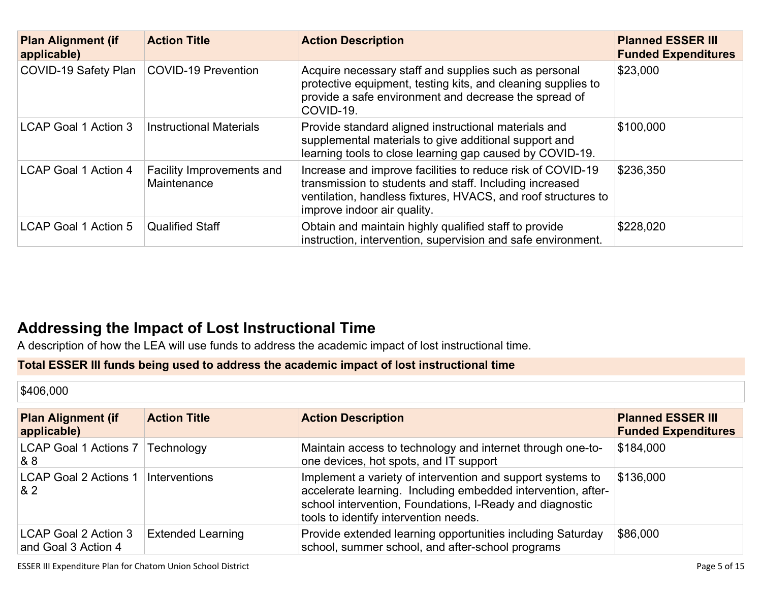| <b>Plan Alignment (if</b><br>applicable) | <b>Action Title</b>                      | <b>Action Description</b>                                                                                                                                                                                             | <b>Planned ESSER III</b><br><b>Funded Expenditures</b> |
|------------------------------------------|------------------------------------------|-----------------------------------------------------------------------------------------------------------------------------------------------------------------------------------------------------------------------|--------------------------------------------------------|
| COVID-19 Safety Plan                     | <b>COVID-19 Prevention</b>               | Acquire necessary staff and supplies such as personal<br>protective equipment, testing kits, and cleaning supplies to<br>provide a safe environment and decrease the spread of<br>COVID-19.                           | \$23,000                                               |
| <b>LCAP Goal 1 Action 3</b>              | <b>Instructional Materials</b>           | Provide standard aligned instructional materials and<br>supplemental materials to give additional support and<br>learning tools to close learning gap caused by COVID-19.                                             | \$100,000                                              |
| <b>LCAP Goal 1 Action 4</b>              | Facility Improvements and<br>Maintenance | Increase and improve facilities to reduce risk of COVID-19<br>transmission to students and staff. Including increased<br>ventilation, handless fixtures, HVACS, and roof structures to<br>improve indoor air quality. | \$236,350                                              |
| <b>LCAP Goal 1 Action 5</b>              | <b>Qualified Staff</b>                   | Obtain and maintain highly qualified staff to provide<br>instruction, intervention, supervision and safe environment.                                                                                                 | \$228,020                                              |

### **[Addressing the Impact of Lost Instructional Time](#page-13-0)**

A description of how the LEA will use funds to address the academic impact of lost instructional time.

#### **Total ESSER III funds being used to address the academic impact of lost instructional time**

\$406,000

| <b>Plan Alignment (if</b><br>applicable)    | <b>Action Title</b>      | <b>Action Description</b>                                                                                                                                                                                                       | <b>Planned ESSER III</b><br><b>Funded Expenditures</b> |
|---------------------------------------------|--------------------------|---------------------------------------------------------------------------------------------------------------------------------------------------------------------------------------------------------------------------------|--------------------------------------------------------|
| LCAP Goal 1 Actions 7<br>& 8                | Technology               | Maintain access to technology and internet through one-to-<br>one devices, hot spots, and IT support                                                                                                                            | \$184,000                                              |
| <b>LCAP Goal 2 Actions 1</b><br>82          | Interventions            | Implement a variety of intervention and support systems to<br>accelerate learning. Including embedded intervention, after-<br>school intervention, Foundations, I-Ready and diagnostic<br>tools to identify intervention needs. | \$136,000                                              |
| LCAP Goal 2 Action 3<br>and Goal 3 Action 4 | <b>Extended Learning</b> | Provide extended learning opportunities including Saturday<br>school, summer school, and after-school programs                                                                                                                  | \$86,000                                               |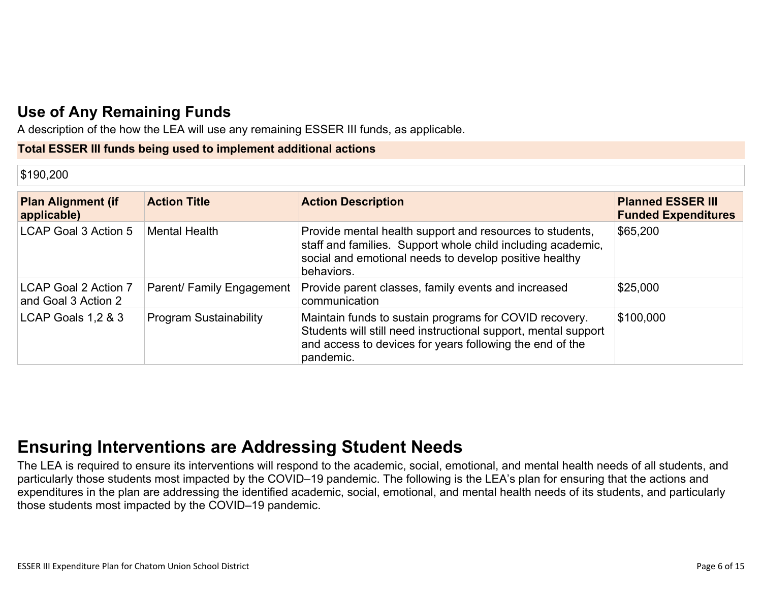### **[Use of Any Remaining Funds](#page-13-1)**

A description of the how the LEA will use any remaining ESSER III funds, as applicable.

#### **Total ESSER III funds being used to implement additional actions**

#### \$190,200

| <b>Plan Alignment (if</b><br>applicable)    | <b>Action Title</b>           | <b>Action Description</b>                                                                                                                                                                         | <b>Planned ESSER III</b><br><b>Funded Expenditures</b> |
|---------------------------------------------|-------------------------------|---------------------------------------------------------------------------------------------------------------------------------------------------------------------------------------------------|--------------------------------------------------------|
| LCAP Goal 3 Action 5                        | <b>Mental Health</b>          | Provide mental health support and resources to students,<br>staff and families. Support whole child including academic,<br>social and emotional needs to develop positive healthy<br>behaviors.   | \$65,200                                               |
| LCAP Goal 2 Action 7<br>and Goal 3 Action 2 | Parent/ Family Engagement     | Provide parent classes, family events and increased<br>communication                                                                                                                              | \$25,000                                               |
| LCAP Goals 1,2 & 3                          | <b>Program Sustainability</b> | Maintain funds to sustain programs for COVID recovery.<br>Students will still need instructional support, mental support<br>and access to devices for years following the end of the<br>pandemic. | \$100,000                                              |

## **[Ensuring Interventions are Addressing Student Needs](#page-13-2)**

The LEA is required to ensure its interventions will respond to the academic, social, emotional, and mental health needs of all students, and particularly those students most impacted by the COVID–19 pandemic. The following is the LEA's plan for ensuring that the actions and expenditures in the plan are addressing the identified academic, social, emotional, and mental health needs of its students, and particularly those students most impacted by the COVID–19 pandemic.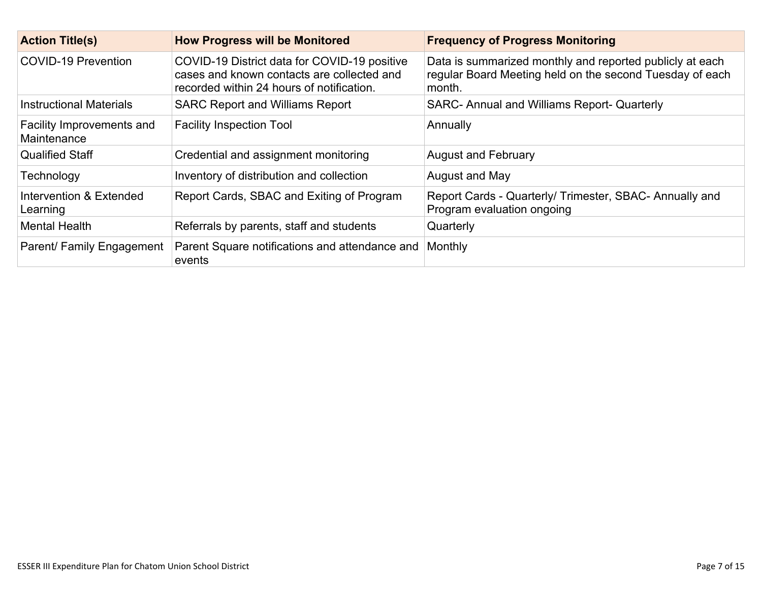| <b>Action Title(s)</b>                   | <b>How Progress will be Monitored</b>                                                                                                   | <b>Frequency of Progress Monitoring</b>                                                                                        |
|------------------------------------------|-----------------------------------------------------------------------------------------------------------------------------------------|--------------------------------------------------------------------------------------------------------------------------------|
| COVID-19 Prevention                      | COVID-19 District data for COVID-19 positive<br>cases and known contacts are collected and<br>recorded within 24 hours of notification. | Data is summarized monthly and reported publicly at each<br>regular Board Meeting held on the second Tuesday of each<br>month. |
| <b>Instructional Materials</b>           | <b>SARC Report and Williams Report</b>                                                                                                  | SARC- Annual and Williams Report- Quarterly                                                                                    |
| Facility Improvements and<br>Maintenance | <b>Facility Inspection Tool</b>                                                                                                         | Annually                                                                                                                       |
| <b>Qualified Staff</b>                   | Credential and assignment monitoring                                                                                                    | <b>August and February</b>                                                                                                     |
| Technology                               | Inventory of distribution and collection                                                                                                | August and May                                                                                                                 |
| Intervention & Extended<br>Learning      | Report Cards, SBAC and Exiting of Program                                                                                               | Report Cards - Quarterly/ Trimester, SBAC- Annually and<br>Program evaluation ongoing                                          |
| <b>Mental Health</b>                     | Referrals by parents, staff and students                                                                                                | Quarterly                                                                                                                      |
| Parent/ Family Engagement                | Parent Square notifications and attendance and<br>events                                                                                | Monthly                                                                                                                        |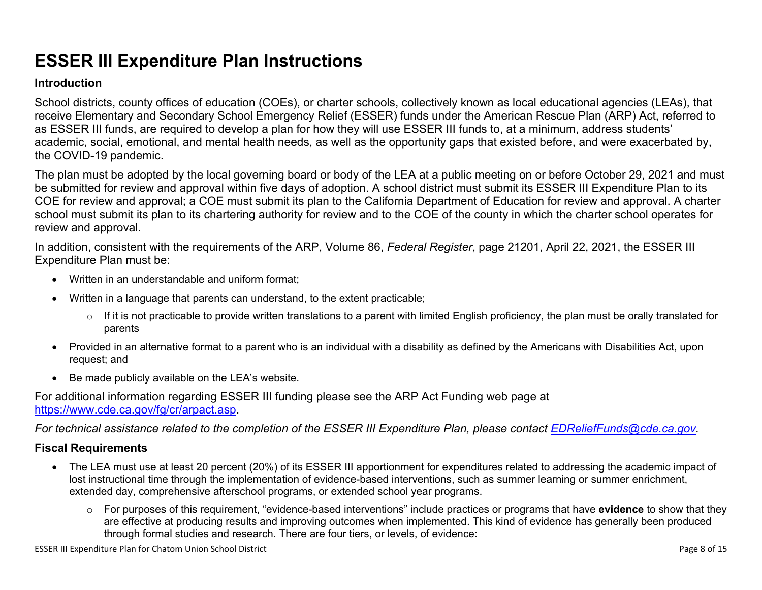# **ESSER III Expenditure Plan Instructions**

#### **Introduction**

School districts, county offices of education (COEs), or charter schools, collectively known as local educational agencies (LEAs), that receive Elementary and Secondary School Emergency Relief (ESSER) funds under the American Rescue Plan (ARP) Act, referred to as ESSER III funds, are required to develop a plan for how they will use ESSER III funds to, at a minimum, address students' academic, social, emotional, and mental health needs, as well as the opportunity gaps that existed before, and were exacerbated by, the COVID-19 pandemic.

The plan must be adopted by the local governing board or body of the LEA at a public meeting on or before October 29, 2021 and must be submitted for review and approval within five days of adoption. A school district must submit its ESSER III Expenditure Plan to its COE for review and approval; a COE must submit its plan to the California Department of Education for review and approval. A charter school must submit its plan to its chartering authority for review and to the COE of the county in which the charter school operates for review and approval.

In addition, consistent with the requirements of the ARP, Volume 86, *Federal Register*, page 21201, April 22, 2021, the ESSER III Expenditure Plan must be:

- Written in an understandable and uniform format;
- Written in a language that parents can understand, to the extent practicable;
	- $\circ$  If it is not practicable to provide written translations to a parent with limited English proficiency, the plan must be orally translated for parents
- Provided in an alternative format to a parent who is an individual with a disability as defined by the Americans with Disabilities Act, upon request; and
- Be made publicly available on the LEA's website.

For additional information regarding ESSER III funding please see the ARP Act Funding web page at <https://www.cde.ca.gov/fg/cr/arpact.asp>.

*For technical assistance related to the completion of the ESSER III Expenditure Plan, please contact [EDReliefFunds@cde.ca.gov](mailto:EDReliefFunds@cde.ca.gov).* 

#### **Fiscal Requirements**

- The LEA must use at least 20 percent (20%) of its ESSER III apportionment for expenditures related to addressing the academic impact of lost instructional time through the implementation of evidence-based interventions, such as summer learning or summer enrichment, extended day, comprehensive afterschool programs, or extended school year programs.
	- o For purposes of this requirement, "evidence-based interventions" include practices or programs that have **evidence** to show that they are effective at producing results and improving outcomes when implemented. This kind of evidence has generally been produced through formal studies and research. There are four tiers, or levels, of evidence: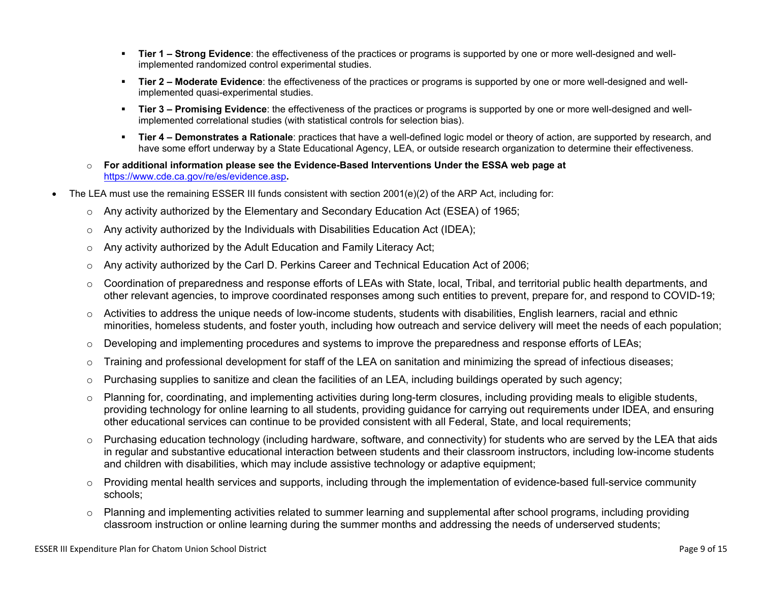- **Tier 1 Strong Evidence**: the effectiveness of the practices or programs is supported by one or more well-designed and wellimplemented randomized control experimental studies.
- **Tier 2 Moderate Evidence**: the effectiveness of the practices or programs is supported by one or more well-designed and wellimplemented quasi-experimental studies.
- Tier 3 Promising Evidence: the effectiveness of the practices or programs is supported by one or more well-designed and wellimplemented correlational studies (with statistical controls for selection bias).
- **EXTIET 4 Demonstrates a Rationale**: practices that have a well-defined logic model or theory of action, are supported by research, and have some effort underway by a State Educational Agency, LEA, or outside research organization to determine their effectiveness.
- o **For additional information please see the Evidence-Based Interventions Under the ESSA web page at**  <https://www.cde.ca.gov/re/es/evidence.asp>**.**
- The LEA must use the remaining ESSER III funds consistent with section 2001(e)(2) of the ARP Act, including for:
	- $\circ$  Any activity authorized by the Elementary and Secondary Education Act (ESEA) of 1965;
	- $\circ$  Any activity authorized by the Individuals with Disabilities Education Act (IDEA);
	- o Any activity authorized by the Adult Education and Family Literacy Act;
	- $\circ$  Any activity authorized by the Carl D. Perkins Career and Technical Education Act of 2006;
	- $\circ$  Coordination of preparedness and response efforts of LEAs with State, local, Tribal, and territorial public health departments, and other relevant agencies, to improve coordinated responses among such entities to prevent, prepare for, and respond to COVID-19;
	- $\circ$  Activities to address the unique needs of low-income students, students with disabilities, English learners, racial and ethnic minorities, homeless students, and foster youth, including how outreach and service delivery will meet the needs of each population;
	- o Developing and implementing procedures and systems to improve the preparedness and response efforts of LEAs;
	- $\circ$  Training and professional development for staff of the LEA on sanitation and minimizing the spread of infectious diseases;
	- $\circ$  Purchasing supplies to sanitize and clean the facilities of an LEA, including buildings operated by such agency;
	- $\circ$  Planning for, coordinating, and implementing activities during long-term closures, including providing meals to eligible students, providing technology for online learning to all students, providing guidance for carrying out requirements under IDEA, and ensuring other educational services can continue to be provided consistent with all Federal, State, and local requirements;
	- $\circ$  Purchasing education technology (including hardware, software, and connectivity) for students who are served by the LEA that aids in regular and substantive educational interaction between students and their classroom instructors, including low-income students and children with disabilities, which may include assistive technology or adaptive equipment;
	- $\circ$  Providing mental health services and supports, including through the implementation of evidence-based full-service community schools;
	- o Planning and implementing activities related to summer learning and supplemental after school programs, including providing classroom instruction or online learning during the summer months and addressing the needs of underserved students;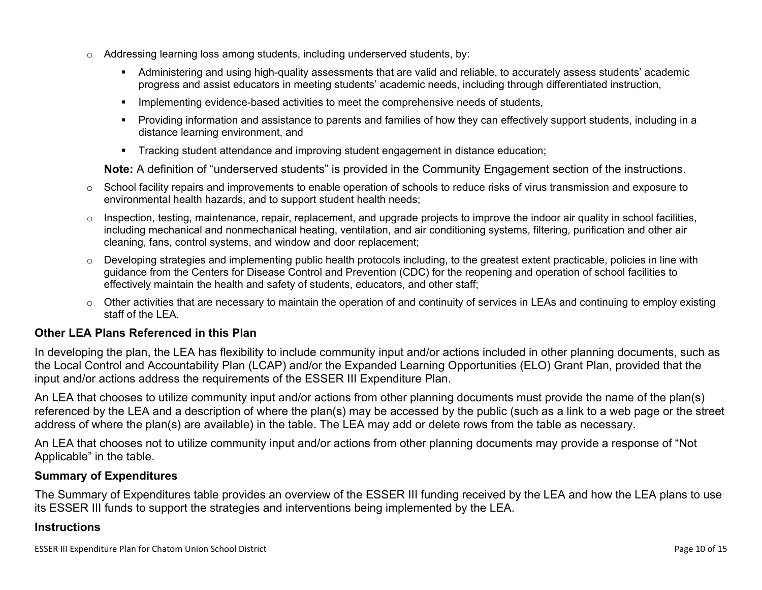- $\circ$  Addressing learning loss among students, including underserved students, by:
	- Administering and using high-quality assessments that are valid and reliable, to accurately assess students' academic progress and assist educators in meeting students' academic needs, including through differentiated instruction,
	- **•** Implementing evidence-based activities to meet the comprehensive needs of students,
	- Providing information and assistance to parents and families of how they can effectively support students, including in a distance learning environment, and
	- Tracking student attendance and improving student engagement in distance education;

**Note:** A definition of "underserved students" is provided in the Community Engagement section of the instructions.

- o School facility repairs and improvements to enable operation of schools to reduce risks of virus transmission and exposure to environmental health hazards, and to support student health needs;
- $\circ$  Inspection, testing, maintenance, repair, replacement, and upgrade projects to improve the indoor air quality in school facilities, including mechanical and nonmechanical heating, ventilation, and air conditioning systems, filtering, purification and other air cleaning, fans, control systems, and window and door replacement;
- $\circ$  Developing strategies and implementing public health protocols including, to the greatest extent practicable, policies in line with guidance from the Centers for Disease Control and Prevention (CDC) for the reopening and operation of school facilities to effectively maintain the health and safety of students, educators, and other staff;
- $\circ$  Other activities that are necessary to maintain the operation of and continuity of services in LEAs and continuing to employ existing staff of the LEA.

#### <span id="page-9-0"></span>**Other LEA Plans Referenced in this Plan**

In developing the plan, the LEA has flexibility to include community input and/or actions included in other planning documents, such as the Local Control and Accountability Plan (LCAP) and/or the Expanded Learning Opportunities (ELO) Grant Plan, provided that the input and/or actions address the requirements of the ESSER III Expenditure Plan.

An LEA that chooses to utilize community input and/or actions from other planning documents must provide the name of the plan(s) referenced by the LEA and a description of where the plan(s) may be accessed by the public (such as a link to a web page or the street address of where the plan(s) are available) in the table. The LEA may add or delete rows from the table as necessary.

An LEA that chooses not to utilize community input and/or actions from other planning documents may provide a response of "Not Applicable" in the table.

#### <span id="page-9-1"></span>**Summary of Expenditures**

The Summary of Expenditures table provides an overview of the ESSER III funding received by the LEA and how the LEA plans to use its ESSER III funds to support the strategies and interventions being implemented by the LEA.

#### **Instructions**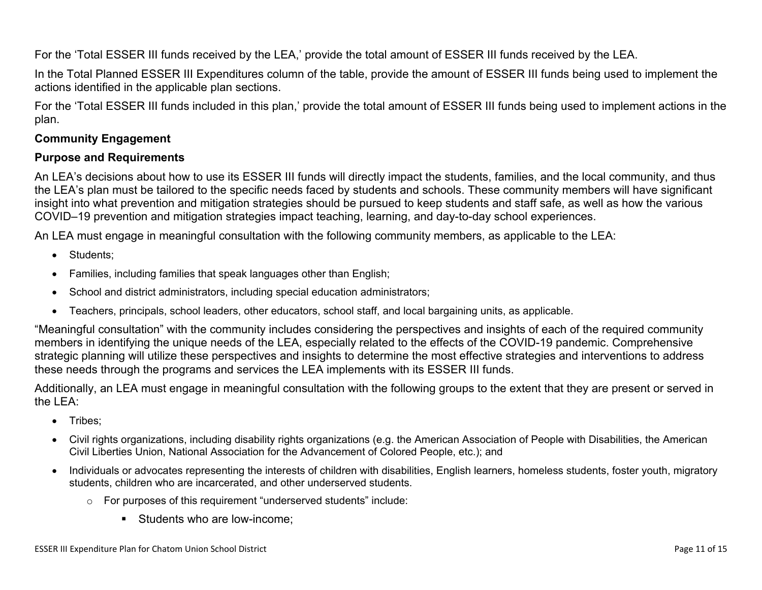For the 'Total ESSER III funds received by the LEA,' provide the total amount of ESSER III funds received by the LEA.

In the Total Planned ESSER III Expenditures column of the table, provide the amount of ESSER III funds being used to implement the actions identified in the applicable plan sections.

For the 'Total ESSER III funds included in this plan,' provide the total amount of ESSER III funds being used to implement actions in the plan.

#### <span id="page-10-0"></span>**Community Engagement**

#### **Purpose and Requirements**

An LEA's decisions about how to use its ESSER III funds will directly impact the students, families, and the local community, and thus the LEA's plan must be tailored to the specific needs faced by students and schools. These community members will have significant insight into what prevention and mitigation strategies should be pursued to keep students and staff safe, as well as how the various COVID–19 prevention and mitigation strategies impact teaching, learning, and day-to-day school experiences.

An LEA must engage in meaningful consultation with the following community members, as applicable to the LEA:

- Students:
- Families, including families that speak languages other than English;
- School and district administrators, including special education administrators;
- Teachers, principals, school leaders, other educators, school staff, and local bargaining units, as applicable.

"Meaningful consultation" with the community includes considering the perspectives and insights of each of the required community members in identifying the unique needs of the LEA, especially related to the effects of the COVID-19 pandemic. Comprehensive strategic planning will utilize these perspectives and insights to determine the most effective strategies and interventions to address these needs through the programs and services the LEA implements with its ESSER III funds.

Additionally, an LEA must engage in meaningful consultation with the following groups to the extent that they are present or served in the LEA:

- Tribes:
- Civil rights organizations, including disability rights organizations (e.g. the American Association of People with Disabilities, the American Civil Liberties Union, National Association for the Advancement of Colored People, etc.); and
- Individuals or advocates representing the interests of children with disabilities, English learners, homeless students, foster youth, migratory students, children who are incarcerated, and other underserved students.
	- o For purposes of this requirement "underserved students" include:
		- Students who are low-income: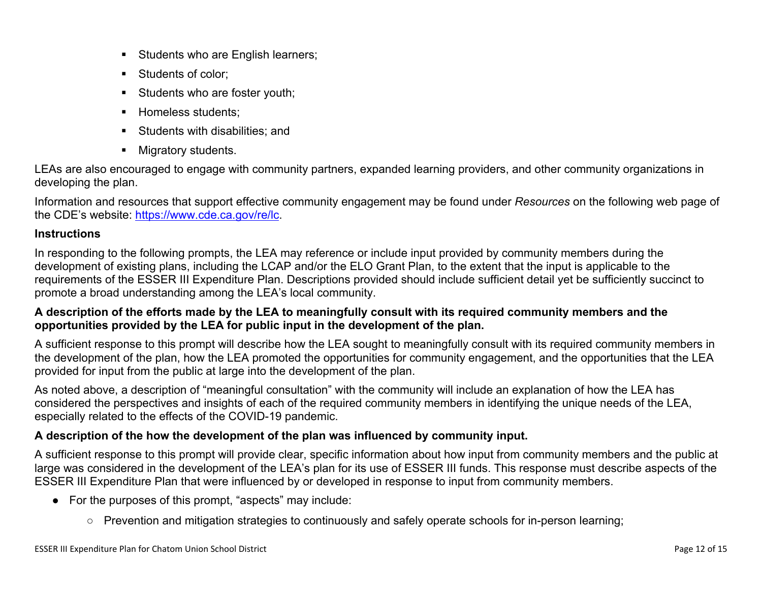- **EXEC** Students who are English learners;
- Students of color:
- **EXECUTE:** Students who are foster youth;
- **E** Homeless students;
- Students with disabilities: and
- Migratory students.

LEAs are also encouraged to engage with community partners, expanded learning providers, and other community organizations in developing the plan.

Information and resources that support effective community engagement may be found under *Resources* on the following web page of the CDE's website: <https://www.cde.ca.gov/re/lc>.

#### **Instructions**

In responding to the following prompts, the LEA may reference or include input provided by community members during the development of existing plans, including the LCAP and/or the ELO Grant Plan, to the extent that the input is applicable to the requirements of the ESSER III Expenditure Plan. Descriptions provided should include sufficient detail yet be sufficiently succinct to promote a broad understanding among the LEA's local community.

#### **A description of the efforts made by the LEA to meaningfully consult with its required community members and the opportunities provided by the LEA for public input in the development of the plan.**

A sufficient response to this prompt will describe how the LEA sought to meaningfully consult with its required community members in the development of the plan, how the LEA promoted the opportunities for community engagement, and the opportunities that the LEA provided for input from the public at large into the development of the plan.

As noted above, a description of "meaningful consultation" with the community will include an explanation of how the LEA has considered the perspectives and insights of each of the required community members in identifying the unique needs of the LEA, especially related to the effects of the COVID-19 pandemic.

#### **A description of the how the development of the plan was influenced by community input.**

A sufficient response to this prompt will provide clear, specific information about how input from community members and the public at large was considered in the development of the LEA's plan for its use of ESSER III funds. This response must describe aspects of the ESSER III Expenditure Plan that were influenced by or developed in response to input from community members.

- For the purposes of this prompt, "aspects" may include:
	- Prevention and mitigation strategies to continuously and safely operate schools for in-person learning;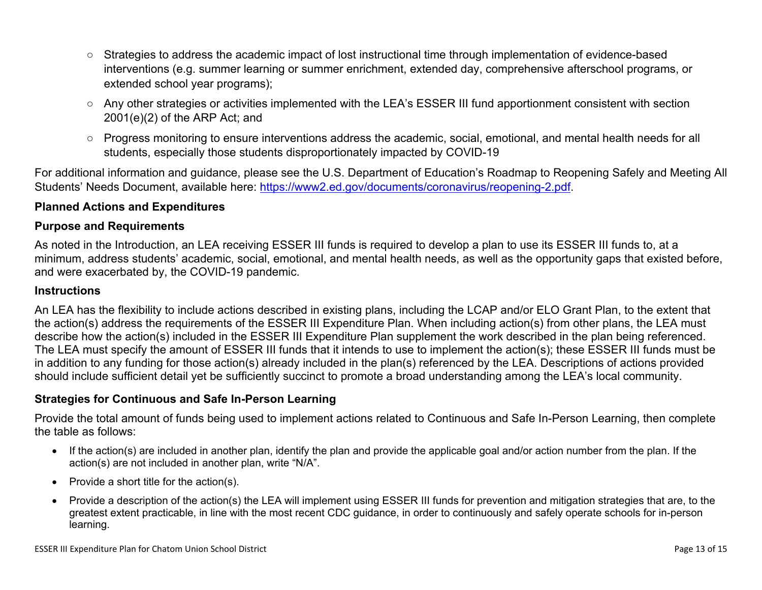- Strategies to address the academic impact of lost instructional time through implementation of evidence-based interventions (e.g. summer learning or summer enrichment, extended day, comprehensive afterschool programs, or extended school year programs);
- Any other strategies or activities implemented with the LEA's ESSER III fund apportionment consistent with section 2001(e)(2) of the ARP Act; and
- Progress monitoring to ensure interventions address the academic, social, emotional, and mental health needs for all students, especially those students disproportionately impacted by COVID-19

For additional information and guidance, please see the U.S. Department of Education's Roadmap to Reopening Safely and Meeting All Students' Needs Document, available here: [https://www2.ed.gov/documents/coronavirus/reopening-2.pdf.](https://www2.ed.gov/documents/coronavirus/reopening-2.pdf)

#### <span id="page-12-0"></span>**Planned Actions and Expenditures**

#### **Purpose and Requirements**

As noted in the Introduction, an LEA receiving ESSER III funds is required to develop a plan to use its ESSER III funds to, at a minimum, address students' academic, social, emotional, and mental health needs, as well as the opportunity gaps that existed before, and were exacerbated by, the COVID-19 pandemic.

#### **Instructions**

An LEA has the flexibility to include actions described in existing plans, including the LCAP and/or ELO Grant Plan, to the extent that the action(s) address the requirements of the ESSER III Expenditure Plan. When including action(s) from other plans, the LEA must describe how the action(s) included in the ESSER III Expenditure Plan supplement the work described in the plan being referenced. The LEA must specify the amount of ESSER III funds that it intends to use to implement the action(s); these ESSER III funds must be in addition to any funding for those action(s) already included in the plan(s) referenced by the LEA. Descriptions of actions provided should include sufficient detail yet be sufficiently succinct to promote a broad understanding among the LEA's local community.

#### <span id="page-12-1"></span>**Strategies for Continuous and Safe In-Person Learning**

Provide the total amount of funds being used to implement actions related to Continuous and Safe In-Person Learning, then complete the table as follows:

- If the action(s) are included in another plan, identify the plan and provide the applicable goal and/or action number from the plan. If the action(s) are not included in another plan, write "N/A".
- Provide a short title for the action(s).
- Provide a description of the action(s) the LEA will implement using ESSER III funds for prevention and mitigation strategies that are, to the greatest extent practicable, in line with the most recent CDC guidance, in order to continuously and safely operate schools for in-person learning.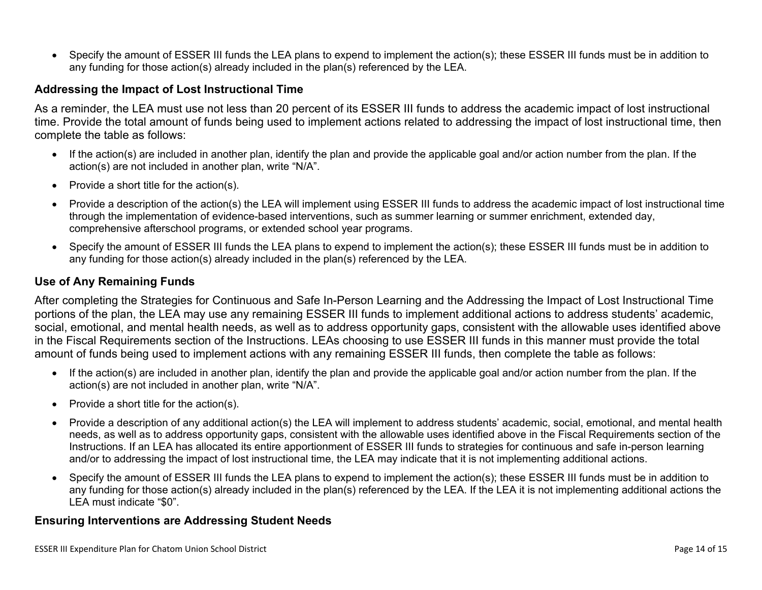• Specify the amount of ESSER III funds the LEA plans to expend to implement the action(s); these ESSER III funds must be in addition to any funding for those action(s) already included in the plan(s) referenced by the LEA.

#### <span id="page-13-0"></span>**Addressing the Impact of Lost Instructional Time**

As a reminder, the LEA must use not less than 20 percent of its ESSER III funds to address the academic impact of lost instructional time. Provide the total amount of funds being used to implement actions related to addressing the impact of lost instructional time, then complete the table as follows:

- If the action(s) are included in another plan, identify the plan and provide the applicable goal and/or action number from the plan. If the action(s) are not included in another plan, write "N/A".
- Provide a short title for the action(s).
- Provide a description of the action(s) the LEA will implement using ESSER III funds to address the academic impact of lost instructional time through the implementation of evidence-based interventions, such as summer learning or summer enrichment, extended day, comprehensive afterschool programs, or extended school year programs.
- Specify the amount of ESSER III funds the LEA plans to expend to implement the action(s); these ESSER III funds must be in addition to any funding for those action(s) already included in the plan(s) referenced by the LEA.

#### <span id="page-13-1"></span>**Use of Any Remaining Funds**

After completing the Strategies for Continuous and Safe In-Person Learning and the Addressing the Impact of Lost Instructional Time portions of the plan, the LEA may use any remaining ESSER III funds to implement additional actions to address students' academic, social, emotional, and mental health needs, as well as to address opportunity gaps, consistent with the allowable uses identified above in the Fiscal Requirements section of the Instructions. LEAs choosing to use ESSER III funds in this manner must provide the total amount of funds being used to implement actions with any remaining ESSER III funds, then complete the table as follows:

- If the action(s) are included in another plan, identify the plan and provide the applicable goal and/or action number from the plan. If the action(s) are not included in another plan, write "N/A".
- Provide a short title for the action(s).
- Provide a description of any additional action(s) the LEA will implement to address students' academic, social, emotional, and mental health needs, as well as to address opportunity gaps, consistent with the allowable uses identified above in the Fiscal Requirements section of the Instructions. If an LEA has allocated its entire apportionment of ESSER III funds to strategies for continuous and safe in-person learning and/or to addressing the impact of lost instructional time, the LEA may indicate that it is not implementing additional actions.
- Specify the amount of ESSER III funds the LEA plans to expend to implement the action(s); these ESSER III funds must be in addition to any funding for those action(s) already included in the plan(s) referenced by the LEA. If the LEA it is not implementing additional actions the LEA must indicate "\$0".

#### <span id="page-13-2"></span>**Ensuring Interventions are Addressing Student Needs**